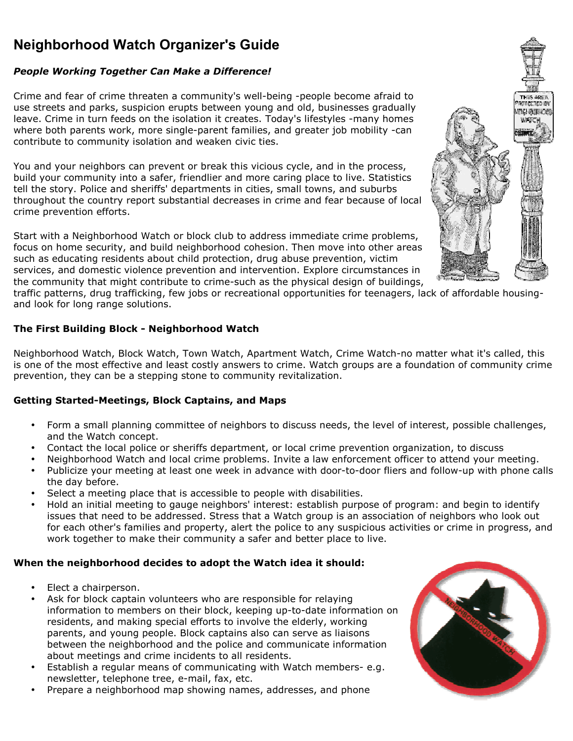# Neighborhood Watch Organizer's Guide

## People Working Together Can Make a Difference!

Crime and fear of crime threaten a community's well-being -people become afraid to use streets and parks, suspicion erupts between young and old, businesses gradually leave. Crime in turn feeds on the isolation it creates. Today's lifestyles -many homes where both parents work, more single-parent families, and greater job mobility -can contribute to community isolation and weaken civic ties.

You and your neighbors can prevent or break this vicious cycle, and in the process, build your community into a safer, friendlier and more caring place to live. Statistics tell the story. Police and sheriffs' departments in cities, small towns, and suburbs throughout the country report substantial decreases in crime and fear because of local crime prevention efforts.

Start with a Neighborhood Watch or block club to address immediate crime problems, focus on home security, and build neighborhood cohesion. Then move into other areas such as educating residents about child protection, drug abuse prevention, victim services, and domestic violence prevention and intervention. Explore circumstances in the community that might contribute to crime-such as the physical design of buildings,



traffic patterns, drug trafficking, few jobs or recreational opportunities for teenagers, lack of affordable housingand look for long range solutions.

## The First Building Block - Neighborhood Watch

Neighborhood Watch, Block Watch, Town Watch, Apartment Watch, Crime Watch-no matter what it's called, this is one of the most effective and least costly answers to crime. Watch groups are a foundation of community crime prevention, they can be a stepping stone to community revitalization.

## Getting Started-Meetings, Block Captains, and Maps

- Form a small planning committee of neighbors to discuss needs, the level of interest, possible challenges, and the Watch concept.
- Contact the local police or sheriffs department, or local crime prevention organization, to discuss
- Neighborhood Watch and local crime problems. Invite a law enforcement officer to attend your meeting.
- Publicize your meeting at least one week in advance with door-to-door fliers and follow-up with phone calls the day before.
- Select a meeting place that is accessible to people with disabilities.
- Hold an initial meeting to gauge neighbors' interest: establish purpose of program: and begin to identify issues that need to be addressed. Stress that a Watch group is an association of neighbors who look out for each other's families and property, alert the police to any suspicious activities or crime in progress, and work together to make their community a safer and better place to live.

## When the neighborhood decides to adopt the Watch idea it should:

- Elect a chairperson.
- Ask for block captain volunteers who are responsible for relaying information to members on their block, keeping up-to-date information on residents, and making special efforts to involve the elderly, working parents, and young people. Block captains also can serve as liaisons between the neighborhood and the police and communicate information about meetings and crime incidents to all residents.
- Establish a regular means of communicating with Watch members- e.g. newsletter, telephone tree, e-mail, fax, etc.
- Prepare a neighborhood map showing names, addresses, and phone

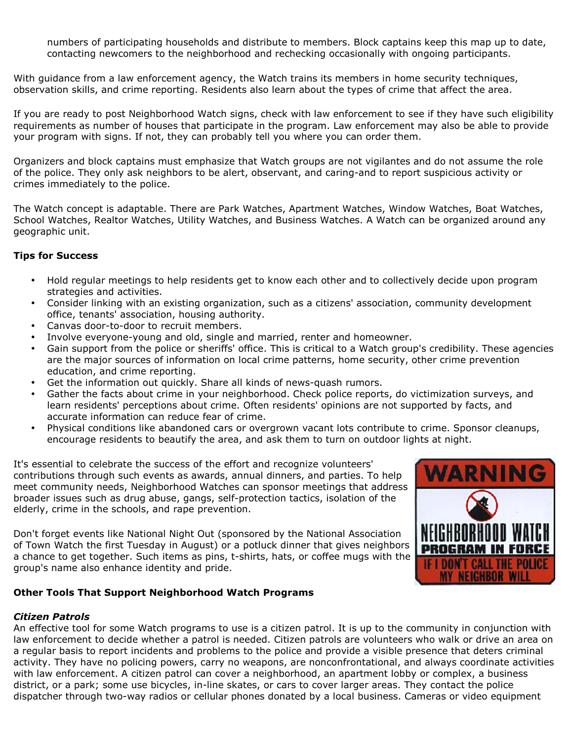numbers of participating households and distribute to members. Block captains keep this map up to date, contacting newcomers to the neighborhood and rechecking occasionally with ongoing participants.

With guidance from a law enforcement agency, the Watch trains its members in home security techniques, observation skills, and crime reporting. Residents also learn about the types of crime that affect the area.

If you are ready to post Neighborhood Watch signs, check with law enforcement to see if they have such eligibility requirements as number of houses that participate in the program. Law enforcement may also be able to provide your program with signs. If not, they can probably tell you where you can order them.

Organizers and block captains must emphasize that Watch groups are not vigilantes and do not assume the role of the police. They only ask neighbors to be alert, observant, and caring-and to report suspicious activity or crimes immediately to the police.

The Watch concept is adaptable. There are Park Watches, Apartment Watches, Window Watches, Boat Watches, School Watches, Realtor Watches, Utility Watches, and Business Watches. A Watch can be organized around any geographic unit.

#### Tips for Success

- Hold regular meetings to help residents get to know each other and to collectively decide upon program strategies and activities.
- Consider linking with an existing organization, such as a citizens' association, community development office, tenants' association, housing authority.
- Canvas door-to-door to recruit members.
- Involve everyone-young and old, single and married, renter and homeowner.
- Gain support from the police or sheriffs' office. This is critical to a Watch group's credibility. These agencies are the major sources of information on local crime patterns, home security, other crime prevention education, and crime reporting.
- Get the information out quickly. Share all kinds of news-quash rumors.
- Gather the facts about crime in your neighborhood. Check police reports, do victimization surveys, and learn residents' perceptions about crime. Often residents' opinions are not supported by facts, and accurate information can reduce fear of crime.
- Physical conditions like abandoned cars or overgrown vacant lots contribute to crime. Sponsor cleanups, encourage residents to beautify the area, and ask them to turn on outdoor lights at night.

It's essential to celebrate the success of the effort and recognize volunteers' contributions through such events as awards, annual dinners, and parties. To help meet community needs, Neighborhood Watches can sponsor meetings that address broader issues such as drug abuse, gangs, self-protection tactics, isolation of the elderly, crime in the schools, and rape prevention.

Don't forget events like National Night Out (sponsored by the National Association of Town Watch the first Tuesday in August) or a potluck dinner that gives neighbors a chance to get together. Such items as pins, t-shirts, hats, or coffee mugs with the group's name also enhance identity and pride.

#### Other Tools That Support Neighborhood Watch Programs

#### Citizen Patrols

An effective tool for some Watch programs to use is a citizen patrol. It is up to the community in conjunction with law enforcement to decide whether a patrol is needed. Citizen patrols are volunteers who walk or drive an area on a regular basis to report incidents and problems to the police and provide a visible presence that deters criminal activity. They have no policing powers, carry no weapons, are nonconfrontational, and always coordinate activities with law enforcement. A citizen patrol can cover a neighborhood, an apartment lobby or complex, a business district, or a park; some use bicycles, in-line skates, or cars to cover larger areas. They contact the police dispatcher through two-way radios or cellular phones donated by a local business. Cameras or video equipment

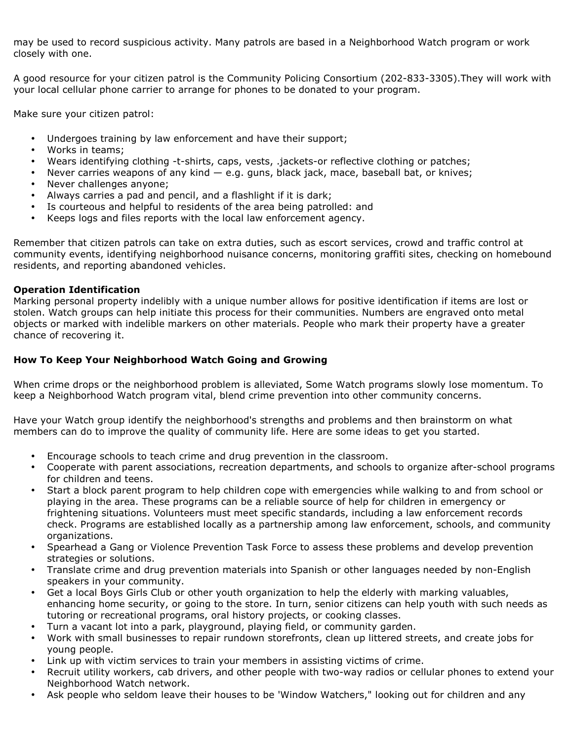may be used to record suspicious activity. Many patrols are based in a Neighborhood Watch program or work closely with one.

A good resource for your citizen patrol is the Community Policing Consortium (202-833-3305).They will work with your local cellular phone carrier to arrange for phones to be donated to your program.

Make sure your citizen patrol:

- Undergoes training by law enforcement and have their support;
- Works in teams;
- Wears identifying clothing -t-shirts, caps, vests, .jackets-or reflective clothing or patches;
- Never carries weapons of any kind  $-$  e.g. guns, black jack, mace, baseball bat, or knives;
- Never challenges anyone;
- Always carries a pad and pencil, and a flashlight if it is dark;
- Is courteous and helpful to residents of the area being patrolled: and
- Keeps logs and files reports with the local law enforcement agency.

Remember that citizen patrols can take on extra duties, such as escort services, crowd and traffic control at community events, identifying neighborhood nuisance concerns, monitoring graffiti sites, checking on homebound residents, and reporting abandoned vehicles.

#### Operation Identification

Marking personal property indelibly with a unique number allows for positive identification if items are lost or stolen. Watch groups can help initiate this process for their communities. Numbers are engraved onto metal objects or marked with indelible markers on other materials. People who mark their property have a greater chance of recovering it.

### How To Keep Your Neighborhood Watch Going and Growing

When crime drops or the neighborhood problem is alleviated, Some Watch programs slowly lose momentum. To keep a Neighborhood Watch program vital, blend crime prevention into other community concerns.

Have your Watch group identify the neighborhood's strengths and problems and then brainstorm on what members can do to improve the quality of community life. Here are some ideas to get you started.

- Encourage schools to teach crime and drug prevention in the classroom.
- Cooperate with parent associations, recreation departments, and schools to organize after-school programs for children and teens.
- Start a block parent program to help children cope with emergencies while walking to and from school or playing in the area. These programs can be a reliable source of help for children in emergency or frightening situations. Volunteers must meet specific standards, including a law enforcement records check. Programs are established locally as a partnership among law enforcement, schools, and community organizations.
- Spearhead a Gang or Violence Prevention Task Force to assess these problems and develop prevention strategies or solutions.
- Translate crime and drug prevention materials into Spanish or other languages needed by non-English speakers in your community.
- Get a local Boys Girls Club or other youth organization to help the elderly with marking valuables, enhancing home security, or going to the store. In turn, senior citizens can help youth with such needs as tutoring or recreational programs, oral history projects, or cooking classes.
- Turn a vacant lot into a park, playground, playing field, or community garden.
- Work with small businesses to repair rundown storefronts, clean up littered streets, and create jobs for young people.
- Link up with victim services to train your members in assisting victims of crime.
- Recruit utility workers, cab drivers, and other people with two-way radios or cellular phones to extend your Neighborhood Watch network.
- Ask people who seldom leave their houses to be 'Window Watchers," looking out for children and any